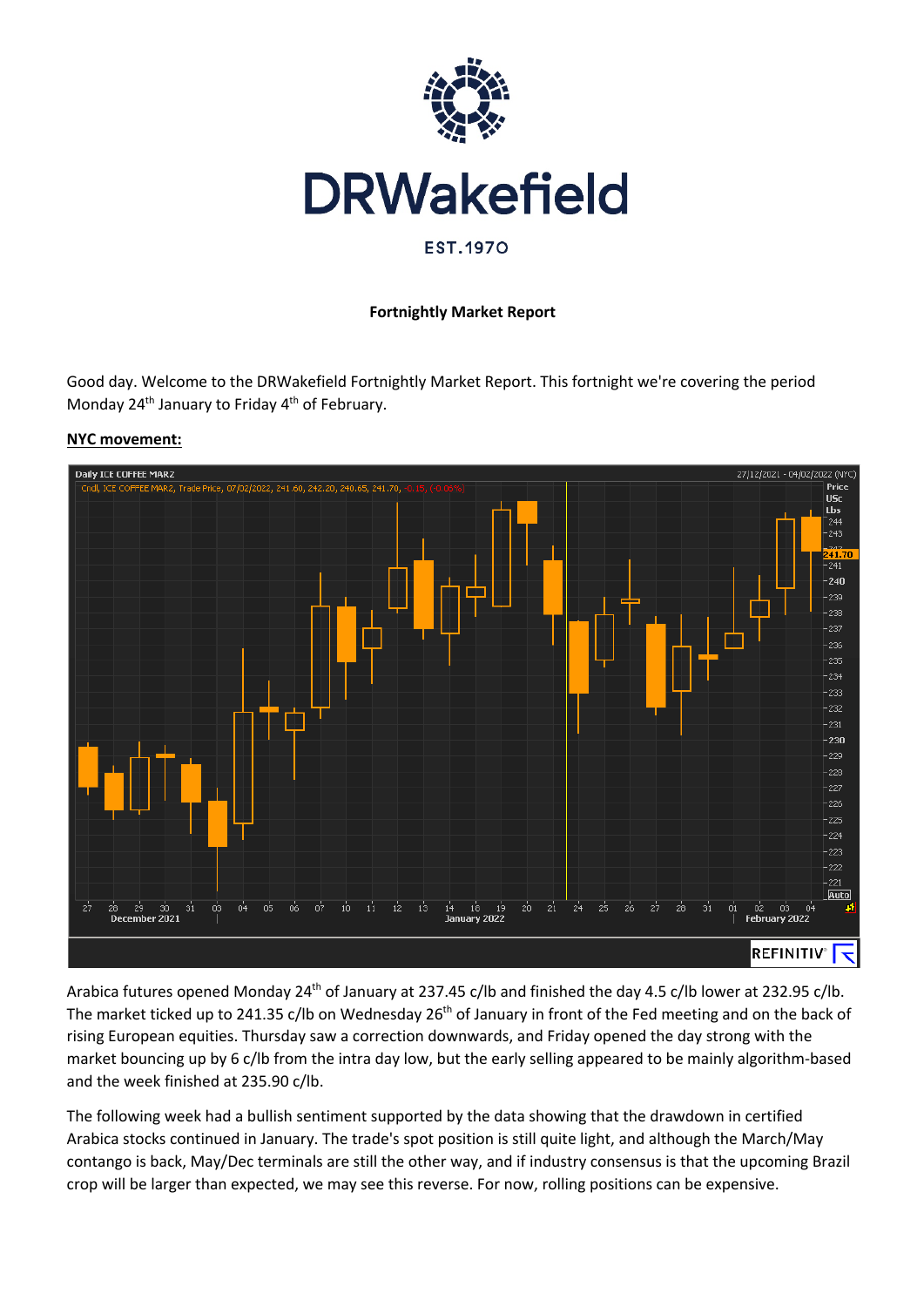

#### **Fortnightly Market Report**

Good day. Welcome to the DRWakefield Fortnightly Market Report. This fortnight we're covering the period Monday 24<sup>th</sup> January to Friday 4<sup>th</sup> of February.



**NYC movement:**

Arabica futures opened Monday 24<sup>th</sup> of January at 237.45 c/lb and finished the day 4.5 c/lb lower at 232.95 c/lb. The market ticked up to 241.35 c/lb on Wednesday 26<sup>th</sup> of January in front of the Fed meeting and on the back of rising European equities. Thursday saw a correction downwards, and Friday opened the day strong with the market bouncing up by 6 c/lb from the intra day low, but the early selling appeared to be mainly algorithm-based and the week finished at 235.90 c/lb.

The following week had a bullish sentiment supported by the data showing that the drawdown in certified Arabica stocks continued in January. The trade's spot position is still quite light, and although the March/May contango is back, May/Dec terminals are still the other way, and if industry consensus is that the upcoming Brazil crop will be larger than expected, we may see this reverse. For now, rolling positions can be expensive.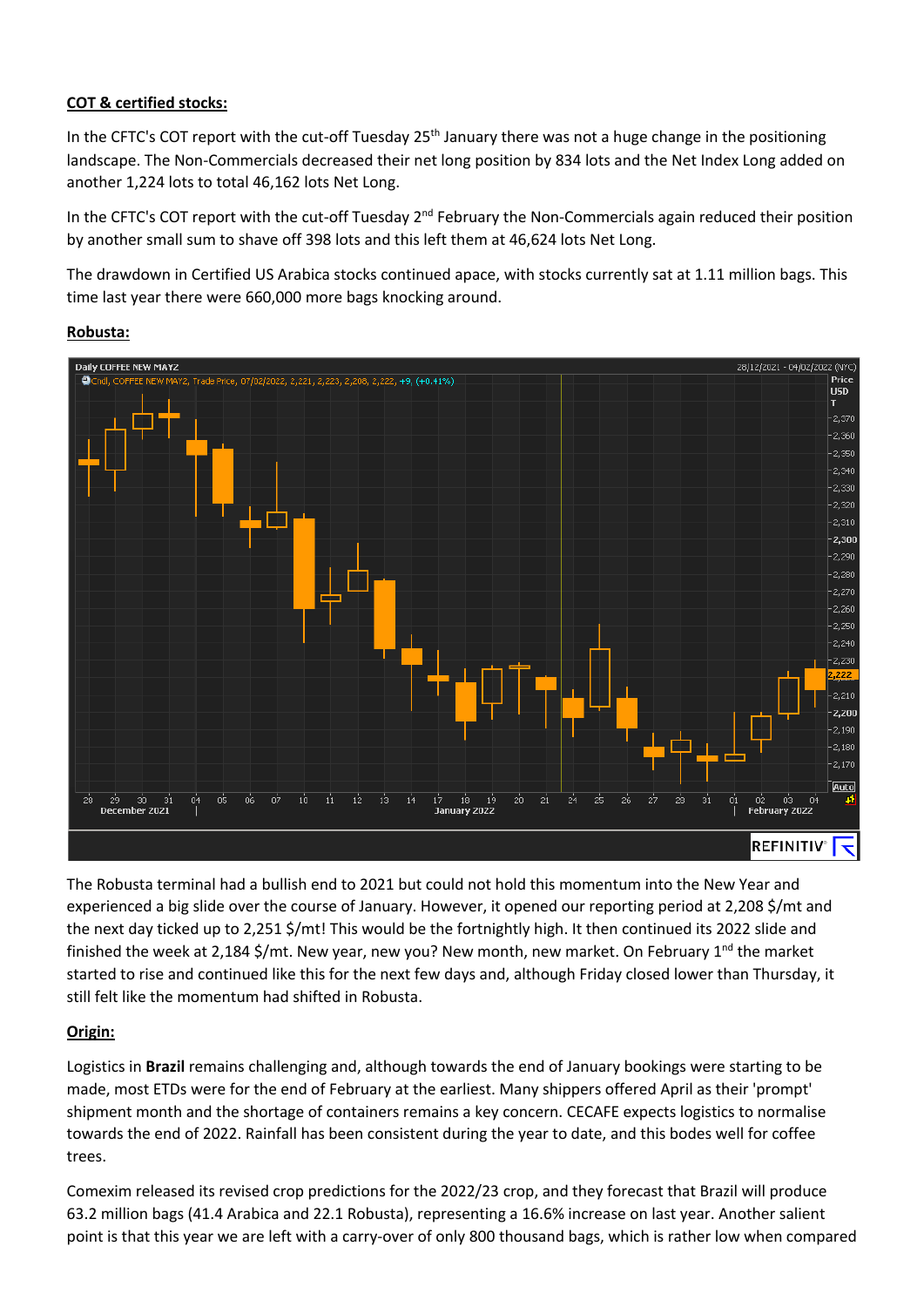### **COT & certified stocks:**

In the CFTC's COT report with the cut-off Tuesday 25<sup>th</sup> January there was not a huge change in the positioning landscape. The Non-Commercials decreased their net long position by 834 lots and the Net Index Long added on another 1,224 lots to total 46,162 lots Net Long.

In the CFTC's COT report with the cut-off Tuesday 2<sup>nd</sup> February the Non-Commercials again reduced their position by another small sum to shave off 398 lots and this left them at 46,624 lots Net Long.

The drawdown in Certified US Arabica stocks continued apace, with stocks currently sat at 1.11 million bags. This time last year there were 660,000 more bags knocking around.



#### **Robusta:**

The Robusta terminal had a bullish end to 2021 but could not hold this momentum into the New Year and experienced a big slide over the course of January. However, it opened our reporting period at 2,208 \$/mt and the next day ticked up to 2,251 \$/mt! This would be the fortnightly high. It then continued its 2022 slide and finished the week at 2,184 \$/mt. New year, new you? New month, new market. On February 1<sup>nd</sup> the market started to rise and continued like this for the next few days and, although Friday closed lower than Thursday, it still felt like the momentum had shifted in Robusta.

## **Origin:**

Logistics in **Brazil** remains challenging and, although towards the end of January bookings were starting to be made, most ETDs were for the end of February at the earliest. Many shippers offered April as their 'prompt' shipment month and the shortage of containers remains a key concern. CECAFE expects logistics to normalise towards the end of 2022. Rainfall has been consistent during the year to date, and this bodes well for coffee trees.

Comexim released its revised crop predictions for the 2022/23 crop, and they forecast that Brazil will produce 63.2 million bags (41.4 Arabica and 22.1 Robusta), representing a 16.6% increase on last year. Another salient point is that this year we are left with a carry-over of only 800 thousand bags, which is rather low when compared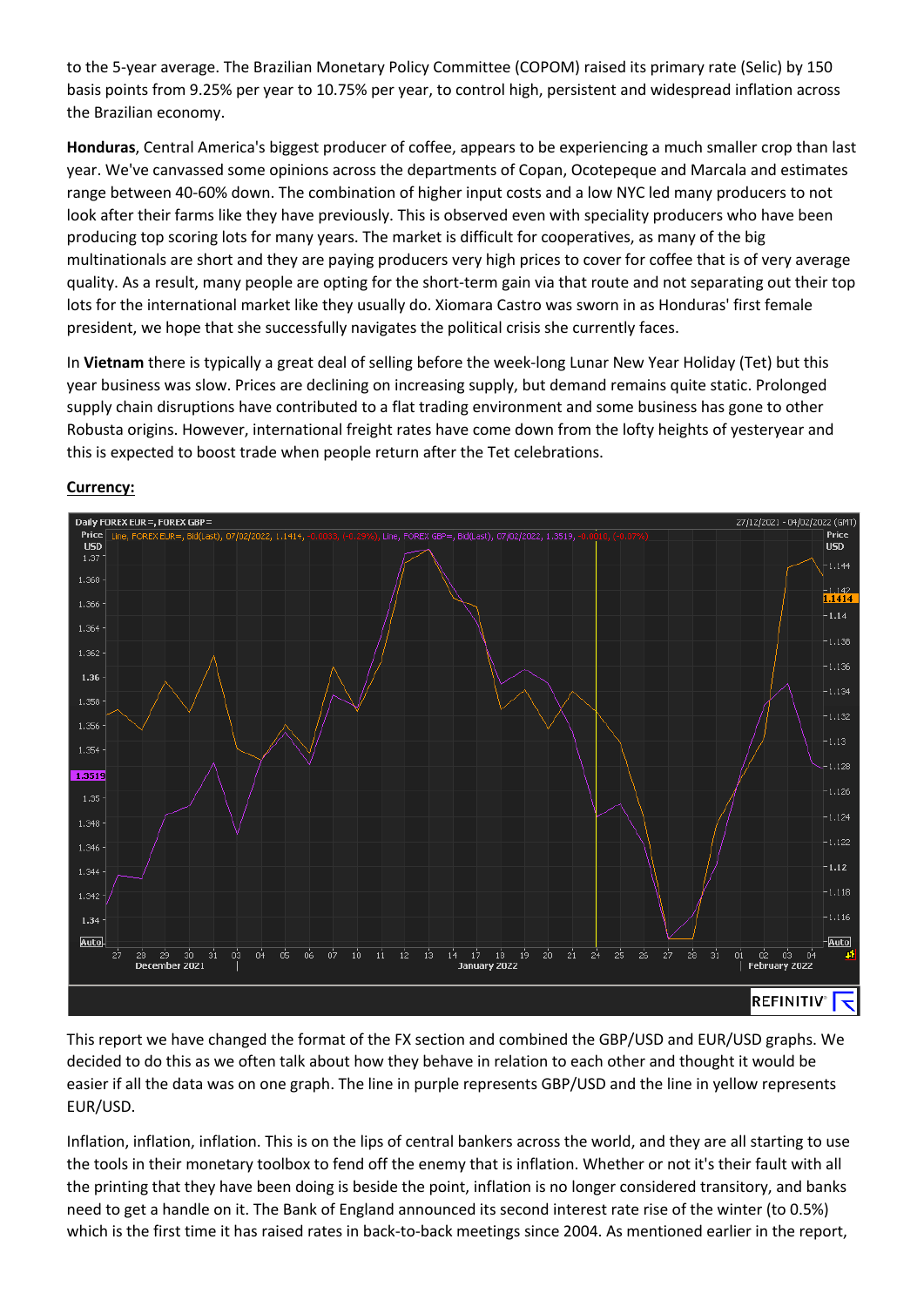to the 5-year average. The Brazilian Monetary Policy Committee (COPOM) raised its primary rate (Selic) by 150 basis points from 9.25% per year to 10.75% per year, to control high, persistent and widespread inflation across the Brazilian economy.

**Honduras**, Central America's biggest producer of coffee, appears to be experiencing a much smaller crop than last year. We've canvassed some opinions across the departments of Copan, Ocotepeque and Marcala and estimates range between 40-60% down. The combination of higher input costs and a low NYC led many producers to not look after their farms like they have previously. This is observed even with speciality producers who have been producing top scoring lots for many years. The market is difficult for cooperatives, as many of the big multinationals are short and they are paying producers very high prices to cover for coffee that is of very average quality. As a result, many people are opting for the short-term gain via that route and not separating out their top lots for the international market like they usually do. Xiomara Castro was sworn in as Honduras' first female president, we hope that she successfully navigates the political crisis she currently faces.

In **Vietnam** there is typically a great deal of selling before the week-long Lunar New Year Holiday (Tet) but this year business was slow. Prices are declining on increasing supply, but demand remains quite static. Prolonged supply chain disruptions have contributed to a flat trading environment and some business has gone to other Robusta origins. However, international freight rates have come down from the lofty heights of yesteryear and this is expected to boost trade when people return after the Tet celebrations.



# **Currency:**

This report we have changed the format of the FX section and combined the GBP/USD and EUR/USD graphs. We decided to do this as we often talk about how they behave in relation to each other and thought it would be easier if all the data was on one graph. The line in purple represents GBP/USD and the line in yellow represents EUR/USD.

Inflation, inflation, inflation. This is on the lips of central bankers across the world, and they are all starting to use the tools in their monetary toolbox to fend off the enemy that is inflation. Whether or not it's their fault with all the printing that they have been doing is beside the point, inflation is no longer considered transitory, and banks need to get a handle on it. The Bank of England announced its second interest rate rise of the winter (to 0.5%) which is the first time it has raised rates in back-to-back meetings since 2004. As mentioned earlier in the report,